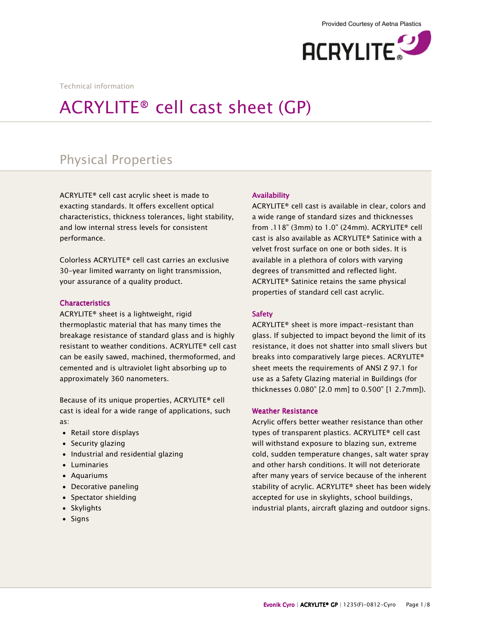

Technical information

# ACRYLITE® cell cast sheet (GP)

# Physical Properties

ACRYLITE® cell cast acrylic sheet is made to exacting standards. It offers excellent optical characteristics, thickness tolerances, light stability, and low internal stress levels for consistent performance.

Colorless ACRYLITE® cell cast carries an exclusive 30-year limited warranty on light transmission, your assurance of a quality product.

#### **Characteristics**

ACRYLITE® sheet is a lightweight, rigid thermoplastic material that has many times the breakage resistance of standard glass and is highly resistant to weather conditions. ACRYLITE® cell cast can be easily sawed, machined, thermoformed, and cemented and is ultraviolet light absorbing up to approximately 360 nanometers.

Because of its unique properties, ACRYLITE® cell cast is ideal for a wide range of applications, such as:

- Retail store displays
- Security glazing
- Industrial and residential glazing
- Luminaries
- Aquariums
- Decorative paneling
- Spectator shielding
- Skylights
- Signs

#### **Availability**

ACRYLITE® cell cast is available in clear, colors and a wide range of standard sizes and thicknesses from .118" (3mm) to 1.0" (24mm). ACRYLITE® cell cast is also available as ACRYLITE® Satinice with a velvet frost surface on one or both sides. It is available in a plethora of colors with varying degrees of transmitted and reflected light. ACRYLITE® Satinice retains the same physical properties of standard cell cast acrylic.

#### Safety

ACRYLITE® sheet is more impact-resistant than glass. If subjected to impact beyond the limit of its resistance, it does not shatter into small slivers but breaks into comparatively large pieces. ACRYLITE® sheet meets the requirements of ANSI Z 97.1 for use as a Safety Glazing material in Buildings (for thicknesses 0.080" [2.0 mm] to 0.500" [1 2.7mm]).

#### **Weather Resistance**

Acrylic offers better weather resistance than other types of transparent plastics. ACRYLITE® cell cast will withstand exposure to blazing sun, extreme cold, sudden temperature changes, salt water spray and other harsh conditions. It will not deteriorate after many years of service because of the inherent stability of acrylic. ACRYLITE® sheet has been widely accepted for use in skylights, school buildings, industrial plants, aircraft glazing and outdoor signs.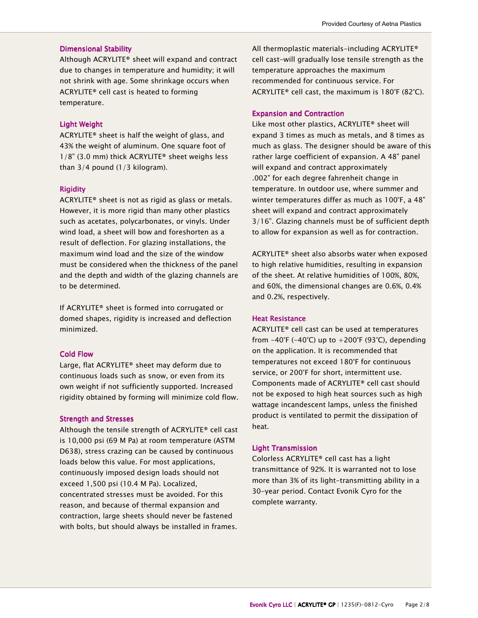#### **Dimensional Stability**

Although ACRYLITE® sheet will expand and contract due to changes in temperature and humidity; it will not shrink with age. Some shrinkage occurs when ACRYLITE® cell cast is heated to forming temperature.

#### **Light Weight**

ACRYLITE® sheet is half the weight of glass, and 43% the weight of aluminum. One square foot of 1/8" (3.0 mm) thick ACRYLITE® sheet weighs less than 3/4 pound (1/3 kilogram).

#### **Rigidity**

ACRYLITE® sheet is not as rigid as glass or metals. However, it is more rigid than many other plastics such as acetates, polycarbonates, or vinyls. Under wind load, a sheet will bow and foreshorten as a result of deflection. For glazing installations, the maximum wind load and the size of the window must be considered when the thickness of the panel and the depth and width of the glazing channels are to be determined.

If ACRYLITE® sheet is formed into corrugated or domed shapes, rigidity is increased and deflection minimized.

#### Cold Flow Cold Flow

Large, flat ACRYLITE® sheet may deform due to continuous loads such as snow, or even from its own weight if not sufficiently supported. Increased rigidity obtained by forming will minimize cold flow.

#### **Strength and Stresses**

Although the tensile strength of ACRYLITE® cell cast is 10,000 psi (69 M Pa) at room temperature (ASTM D638), stress crazing can be caused by continuous loads below this value. For most applications, continuously imposed design loads should not exceed 1,500 psi (10.4 M Pa). Localized, concentrated stresses must be avoided. For this reason, and because of thermal expansion and contraction, large sheets should never be fastened with bolts, but should always be installed in frames.

All thermoplastic materials-including ACRYLITE® cell cast-will gradually lose tensile strength as the temperature approaches the maximum recommended for continuous service. For ACRYLITE® cell cast, the maximum is 180°F (82°C).

#### **Expansion and Contraction**

Like most other plastics, ACRYLITE® sheet will expand 3 times as much as metals, and 8 times as much as glass. The designer should be aware of this rather large coefficient of expansion. A 48" panel will expand and contract approximately .002" for each degree fahrenheit change in temperature. In outdoor use, where summer and winter temperatures differ as much as 100°F, a 48" sheet will expand and contract approximately 3/16". Glazing channels must be of sufficient depth to allow for expansion as well as for contraction.

ACRYLITE® sheet also absorbs water when exposed to high relative humidities, resulting in expansion of the sheet. At relative humidities of 100%, 80%, and 60%, the dimensional changes are 0.6%, 0.4% and 0.2%, respectively.

#### **Heat Resistance**

ACRYLITE® cell cast can be used at temperatures from  $-40^{\circ}$ F ( $-40^{\circ}$ C) up to  $+200^{\circ}$ F (93 $^{\circ}$ C), depending on the application. It is recommended that temperatures not exceed 180°F for continuous service, or 200°F for short, intermittent use. Components made of ACRYLITE® cell cast should not be exposed to high heat sources such as high wattage incandescent lamps, unless the finished product is ventilated to permit the dissipation of heat.

#### **Light Transmission**

Colorless ACRYLITE® cell cast has a light transmittance of 92%. It is warranted not to lose more than 3% of its light-transmitting ability in a 30-year period. Contact Evonik Cyro for the complete warranty.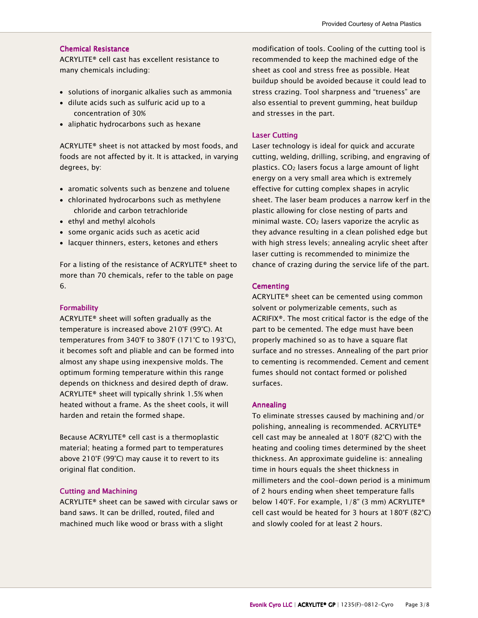#### **Chemical Resistance**

ACRYLITE® cell cast has excellent resistance to many chemicals including:

- solutions of inorganic alkalies such as ammonia
- dilute acids such as sulfuric acid up to a concentration of 30%
- aliphatic hydrocarbons such as hexane

ACRYLITE® sheet is not attacked by most foods, and foods are not affected by it. It is attacked, in varying degrees, by:

- aromatic solvents such as benzene and toluene
- chlorinated hydrocarbons such as methylene chloride and carbon tetrachloride
- ethyl and methyl alcohols
- some organic acids such as acetic acid
- lacquer thinners, esters, ketones and ethers

For a listing of the resistance of ACRYLITE® sheet to more than 70 chemicals, refer to the table on page 6.

#### Formability Formability

ACRYLITE® sheet will soften gradually as the temperature is increased above 210°F (99°C). At temperatures from 340°F to 380°F (171°C to 193°C), it becomes soft and pliable and can be formed into almost any shape using inexpensive molds. The optimum forming temperature within this range depends on thickness and desired depth of draw. ACRYLITE® sheet will typically shrink 1.5% when heated without a frame. As the sheet cools, it will harden and retain the formed shape.

Because ACRYLITE® cell cast is a thermoplastic material; heating a formed part to temperatures above 210°F (99°C) may cause it to revert to its original flat condition.

#### Cutting and Machining

ACRYLITE® sheet can be sawed with circular saws or band saws. It can be drilled, routed, filed and machined much like wood or brass with a slight

modification of tools. Cooling of the cutting tool is recommended to keep the machined edge of the sheet as cool and stress free as possible. Heat buildup should be avoided because it could lead to stress crazing. Tool sharpness and "trueness" are also essential to prevent gumming, heat buildup and stresses in the part.

#### Laser Cutting

Laser technology is ideal for quick and accurate cutting, welding, drilling, scribing, and engraving of plastics. CO2 lasers focus a large amount of light energy on a very small area which is extremely effective for cutting complex shapes in acrylic sheet. The laser beam produces a narrow kerf in the plastic allowing for close nesting of parts and minimal waste.  $CO<sub>2</sub>$  lasers vaporize the acrylic as they advance resulting in a clean polished edge but with high stress levels; annealing acrylic sheet after laser cutting is recommended to minimize the chance of crazing during the service life of the part.

#### **Cementing**

ACRYLITE® sheet can be cemented using common solvent or polymerizable cements, such as ACRIFIX®. The most critical factor is the edge of the part to be cemented. The edge must have been properly machined so as to have a square flat surface and no stresses. Annealing of the part prior to cementing is recommended. Cement and cement fumes should not contact formed or polished surfaces.

#### Annealing

To eliminate stresses caused by machining and/or polishing, annealing is recommended. ACRYLITE® cell cast may be annealed at 180°F (82°C) with the heating and cooling times determined by the sheet thickness. An approximate guideline is: annealing time in hours equals the sheet thickness in millimeters and the cool-down period is a minimum of 2 hours ending when sheet temperature falls below 140°F. For example, 1/8" (3 mm) ACRYLITE® cell cast would be heated for 3 hours at 180°F (82°C) and slowly cooled for at least 2 hours.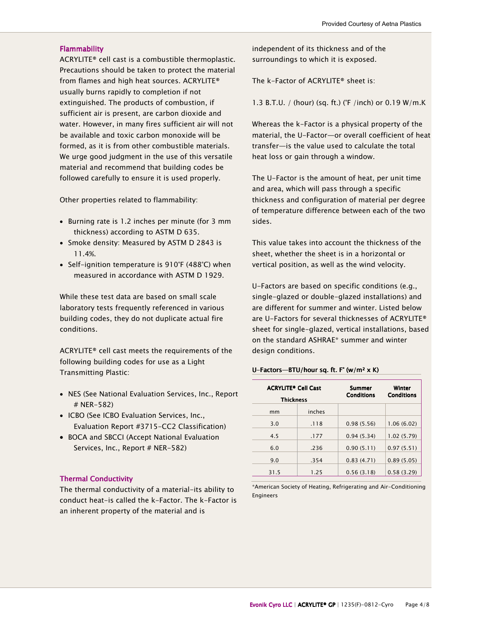#### **Flammability**

ACRYLITE® cell cast is a combustible thermoplastic. Precautions should be taken to protect the material from flames and high heat sources. ACRYLITE® usually burns rapidly to completion if not extinguished. The products of combustion, if sufficient air is present, are carbon dioxide and water. However, in many fires sufficient air will not be available and toxic carbon monoxide will be formed, as it is from other combustible materials. We urge good judgment in the use of this versatile material and recommend that building codes be followed carefully to ensure it is used properly.

Other properties related to flammability:

- Burning rate is 1.2 inches per minute (for 3 mm thickness) according to ASTM D 635.
- Smoke density: Measured by ASTM D 2843 is 11.4%.
- Self-ignition temperature is 910°F (488°C) when measured in accordance with ASTM D 1929.

While these test data are based on small scale laboratory tests frequently referenced in various building codes, they do not duplicate actual fire conditions.

ACRYLITE® cell cast meets the requirements of the following building codes for use as a Light Transmitting Plastic:

- NES (See National Evaluation Services, Inc., Report # NER-582)
- ICBO (See ICBO Evaluation Services, Inc., Evaluation Report #3715-CC2 Classification)
- BOCA and SBCCI (Accept National Evaluation Services, Inc., Report # NER-582)

#### **Thermal Conductivity**

The thermal conductivity of a material-its ability to conduct heat-is called the k-Factor. The k-Factor is an inherent property of the material and is

independent of its thickness and of the surroundings to which it is exposed.

The k-Factor of ACRYLITE® sheet is:

1.3 B.T.U. / (hour) (sq. ft.) (°F /inch) or 0.19 W/m.K

Whereas the k-Factor is a physical property of the material, the U-Factor—or overall coefficient of heat transfer—is the value used to calculate the total heat loss or gain through a window.

The U-Factor is the amount of heat, per unit time and area, which will pass through a specific thickness and configuration of material per degree of temperature difference between each of the two sides.

This value takes into account the thickness of the sheet, whether the sheet is in a horizontal or vertical position, as well as the wind velocity.

U-Factors are based on specific conditions (e.g., single-glazed or double-glazed installations) and are different for summer and winter. Listed below are U-Factors for several thicknesses of ACRYLITE® sheet for single-glazed, vertical installations, based on the standard ASHRAE\* summer and winter design conditions.

#### U-Factors-BTU/hour sq. ft. F° (w/m<sup>2</sup>  $\times$  K)

| <b>ACRYLITE® Cell Cast</b><br><b>Thickness</b> |        | Summer<br><b>Conditions</b> | Winter<br><b>Conditions</b> |
|------------------------------------------------|--------|-----------------------------|-----------------------------|
| mm                                             | inches |                             |                             |
| 3.0                                            | .118   | 0.98(5.56)                  | 1.06(6.02)                  |
| 4.5                                            | .177   | 0.94(5.34)                  | 1.02(5.79)                  |
| 6.0                                            | .236   | 0.90(5.11)                  | 0.97(5.51)                  |
| 9.0                                            | .354   | 0.83(4.71)                  | 0.89(5.05)                  |
| 31.5                                           | 1.25   | 0.56(3.18)                  | 0.58(3.29)                  |

\*American Society of Heating, Refrigerating and Air-Conditioning Engineers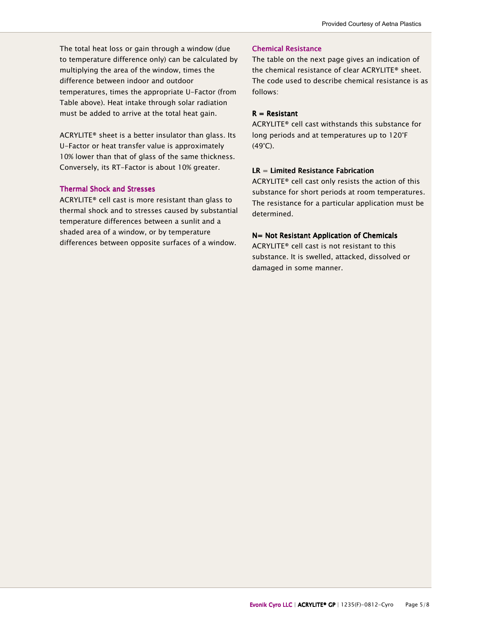The total heat loss or gain through a window (due to temperature difference only) can be calculated by multiplying the area of the window, times the difference between indoor and outdoor temperatures, times the appropriate U-Factor (from Table above). Heat intake through solar radiation must be added to arrive at the total heat gain.

ACRYLITE® sheet is a better insulator than glass. Its U-Factor or heat transfer value is approximately 10% lower than that of glass of the same thickness. Conversely, its RT-Factor is about 10% greater.

## **Thermal Shock and Stresses**

ACRYLITE® cell cast is more resistant than glass to thermal shock and to stresses caused by substantial temperature differences between a sunlit and a shaded area of a window, or by temperature differences between opposite surfaces of a window.

#### Chemical Resistance

The table on the next page gives an indication of the chemical resistance of clear ACRYLITE® sheet. The code used to describe chemical resistance is as follows:

#### $R =$ Resistant

ACRYLITE® cell cast withstands this substance for long periods and at temperatures up to 120°F (49°C).

#### $LR = Limited Resistance Fabrication$

ACRYLITE® cell cast only resists the action of this substance for short periods at room temperatures. The resistance for a particular application must be determined.

#### $N=$  Not Resistant Application of Chemicals

ACRYLITE® cell cast is not resistant to this substance. It is swelled, attacked, dissolved or damaged in some manner.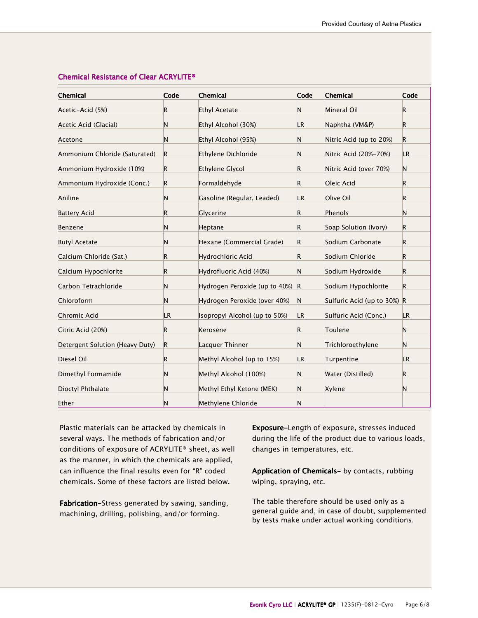| <b>Chemical</b>                 | Code        | Chemical                      | Code        | Chemical                    | Code        |
|---------------------------------|-------------|-------------------------------|-------------|-----------------------------|-------------|
| Acetic-Acid (5%)                | R.          | Ethyl Acetate                 | N           | Mineral Oil                 | $\mathsf R$ |
| Acetic Acid (Glacial)           | N           | Ethyl Alcohol (30%)           | LR          | Naphtha (VM&P)              | R           |
| Acetone                         | N           | Ethyl Alcohol (95%)           | N           | Nitric Acid (up to 20%)     | $\mathsf R$ |
| Ammonium Chloride (Saturated)   | $\mathsf R$ | Ethylene Dichloride           | N           | Nitric Acid (20%-70%)       | LR.         |
| Ammonium Hydroxide (10%)        | $\mathsf R$ | Ethylene Glycol               | R           | Nitric Acid (over 70%)      | N           |
| Ammonium Hydroxide (Conc.)      | R           | Formaldehyde                  | R.          | Oleic Acid                  | R           |
| Aniline                         | N           | Gasoline (Regular, Leaded)    | LR          | Olive Oil                   | R           |
| <b>Battery Acid</b>             | R           | Glycerine                     | R.          | Phenols                     | N           |
| Benzene                         | N           | Heptane                       | R.          | Soap Solution (Ivory)       | R           |
| <b>Butyl Acetate</b>            | N           | Hexane (Commercial Grade)     | R           | Sodium Carbonate            | $\mathsf R$ |
| Calcium Chloride (Sat.)         | R.          | Hydrochloric Acid             | R           | Sodium Chloride             | R           |
| Calcium Hypochlorite            | R           | Hydrofluoric Acid (40%)       | Ν           | Sodium Hydroxide            | R           |
| Carbon Tetrachloride            | N           | Hydrogen Peroxide (up to 40%) | $\mathsf R$ | Sodium Hypochlorite         | R.          |
| Chloroform                      | N           | Hydrogen Peroxide (over 40%)  | N           | Sulfuric Acid (up to 30%) R |             |
| Chromic Acid                    | LR.         | Isopropyl Alcohol (up to 50%) | LR          | Sulfuric Acid (Conc.)       | LR          |
| Citric Acid (20%)               | R           | Kerosene                      | R           | Toulene                     | N           |
| Detergent Solution (Heavy Duty) | $\vert$ R   | Lacquer Thinner               | N           | Trichloroethylene           | N           |
| Diesel Oil                      | R           | Methyl Alcohol (up to 15%)    | LR          | Turpentine                  | <b>LR</b>   |
| Dimethyl Formamide              | N           | Methyl Alcohol (100%)         | N           | Water (Distilled)           | R           |
| Dioctyl Phthalate               | N           | Methyl Ethyl Ketone (MEK)     | N           | Xylene                      | N           |
| Ether                           | N           | Methylene Chloride            | N           |                             |             |

## Chemical Resistance of Clear ACRYLITE®

Plastic materials can be attacked by chemicals in several ways. The methods of fabrication and/or conditions of exposure of ACRYLITE® sheet, as well as the manner, in which the chemicals are applied, can influence the final results even for "R" coded chemicals. Some of these factors are listed below.

Fabrication-Stress generated by sawing, sanding, machining, drilling, polishing, and/or forming.

Exposure-Length of exposure, stresses induced during the life of the product due to various loads, changes in temperatures, etc.

Application of Chemicals- by contacts, rubbing wiping, spraying, etc.

The table therefore should be used only as a general guide and, in case of doubt, supplemented by tests make under actual working conditions.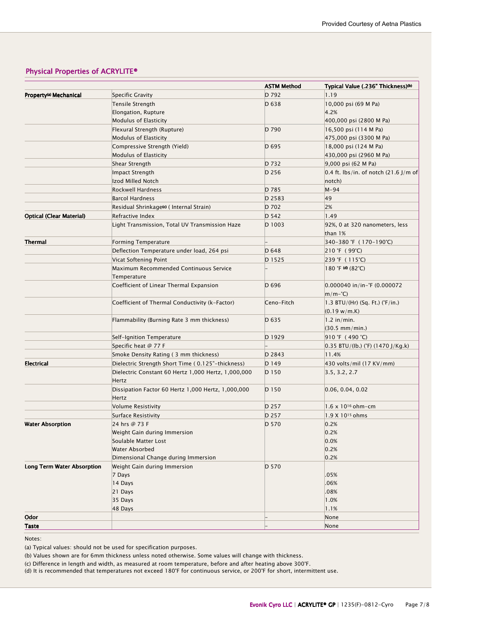# Physical Properties of ACRYLITE®

|                                    |                                                                                                          | <b>ASTM Method</b> | Typical Value (.236" Thickness)(b)                               |
|------------------------------------|----------------------------------------------------------------------------------------------------------|--------------------|------------------------------------------------------------------|
| Property <sup>(a)</sup> Mechanical | Specific Gravity                                                                                         | D 792              | 1.19                                                             |
|                                    | <b>Tensile Strength</b>                                                                                  | D 638              | 10,000 psi (69 M Pa)                                             |
|                                    | Elongation, Rupture                                                                                      |                    | 4.2%                                                             |
|                                    | <b>Modulus of Elasticity</b>                                                                             |                    | 400,000 psi (2800 M Pa)                                          |
|                                    | Flexural Strength (Rupture)                                                                              | D 790              | 16,500 psi (114 M Pa)                                            |
|                                    | <b>Modulus of Elasticity</b>                                                                             |                    | 475,000 psi (3300 M Pa)                                          |
|                                    | Compressive Strength (Yield)                                                                             | D 695              | 18,000 psi (124 M Pa)                                            |
|                                    | <b>Modulus of Elasticity</b>                                                                             |                    | 430,000 psi (2960 M Pa)                                          |
|                                    | Shear Strength                                                                                           | D 732              | 9,000 psi (62 M Pa)                                              |
|                                    | Impact Strength                                                                                          | D 256              | $0.4$ ft. lbs/in. of notch (21.6 J/m of                          |
|                                    | Izod Milled Notch                                                                                        |                    | notch)                                                           |
|                                    | Rockwell Hardness                                                                                        | D 785              | $M-94$                                                           |
|                                    | <b>Barcol Hardness</b>                                                                                   | D 2583             | 49                                                               |
|                                    | Residual Shrinkage© ( Internal Strain)                                                                   | D 702              | 2%                                                               |
| <b>Optical (Clear Material)</b>    | Refractive Index                                                                                         | D 542              | 1.49                                                             |
|                                    | Light Transmission, Total UV Transmission Haze                                                           | D 1003             | 92%, 0 at 320 nanometers, less<br>than 1%                        |
| <b>Thermal</b>                     | <b>Forming Temperature</b>                                                                               |                    | 340-380 °F (170-190°C)                                           |
|                                    | Deflection Temperature under load, 264 psi                                                               | D 648              | $ 210 \text{ }^{\circ}\text{F} \, (99 \text{ }^{\circ}\text{C})$ |
|                                    | Vicat Softening Point                                                                                    | D 1525             | 239 °F (115°C)                                                   |
|                                    | Maximum Recommended Continuous Service<br>Temperature                                                    |                    | $180$ °F (d) $(82^{\circ}C)$                                     |
|                                    | Coefficient of Linear Thermal Expansion                                                                  | D 696              | $0.000040$ in/in-°F (0.000072<br>$m/m-\hat{C}$                   |
|                                    | Coefficient of Thermal Conductivity (k-Factor)                                                           | Ceno-Fitch         | 1.3 BTU/(Hr) (Sq. Ft.) (°F/in.)<br>$(0.19 \text{ w/m.K})$        |
|                                    | Flammability (Burning Rate 3 mm thickness)                                                               | D 635              | $1.2$ in/min.                                                    |
|                                    |                                                                                                          |                    | $(30.5 \, \text{mm/min.})$                                       |
|                                    | Self-Ignition Temperature                                                                                | D 1929             | 910 °F (490 °C)                                                  |
|                                    | Specific heat @ 77 F                                                                                     |                    | $0.35$ BTU/(lb.) (°F) (1470 J/Kg.k)                              |
|                                    | Smoke Density Rating (3 mm thickness)                                                                    | D 2843             | 11.4%                                                            |
| <b>Electrical</b>                  | Dielectric Strength Short Time (0.125"-thickness)<br>Dielectric Constant 60 Hertz 1,000 Hertz, 1,000,000 | $D$ 149<br>D 150   | 430 volts/mil (17 KV/mm)<br>3.5, 3.2, 2.7                        |
|                                    | Hertz<br>Dissipation Factor 60 Hertz 1,000 Hertz, 1,000,000<br>Hertz                                     | D 150              | 0.06, 0.04, 0.02                                                 |
|                                    | Volume Resistivity                                                                                       | D 257              | $1.6 \times 10^{16}$ ohm-cm                                      |
|                                    | Surface Resistivity                                                                                      | D 257              | $1.9 X 10^{15}$ ohms                                             |
| <b>Water Absorption</b>            | 24 hrs @ 73 F                                                                                            | D 570              | 0.2%                                                             |
|                                    | Weight Gain during Immersion                                                                             |                    | 0.2%                                                             |
|                                    | Soulable Matter Lost                                                                                     |                    | 0.0%                                                             |
|                                    | Water Absorbed                                                                                           |                    | 0.2%                                                             |
|                                    | Dimensional Change during Immersion                                                                      |                    | 0.2%                                                             |
| <b>Long Term Water Absorption</b>  | Weight Gain during Immersion                                                                             | D 570              |                                                                  |
|                                    | 7 Days                                                                                                   |                    | .05%                                                             |
|                                    | 14 Days                                                                                                  |                    | .06%                                                             |
|                                    | 21 Days                                                                                                  |                    | .08%                                                             |
|                                    | 35 Days                                                                                                  |                    | 1.0%                                                             |
|                                    | 48 Days                                                                                                  |                    | 1.1%                                                             |
| Odor                               |                                                                                                          |                    | None                                                             |
| <b>Taste</b>                       |                                                                                                          |                    | None                                                             |

Notes:

(a) Typical values: should not be used for specification purposes.

(b) Values shown are for 6mm thickness unless noted otherwise. Some values will change with thickness.

(c) Difference in length and width, as measured at room temperature, before and after heating above 300°F.

(d) It is recommended that temperatures not exceed 180°F for continuous service, or 200°F for short, intermittent use.